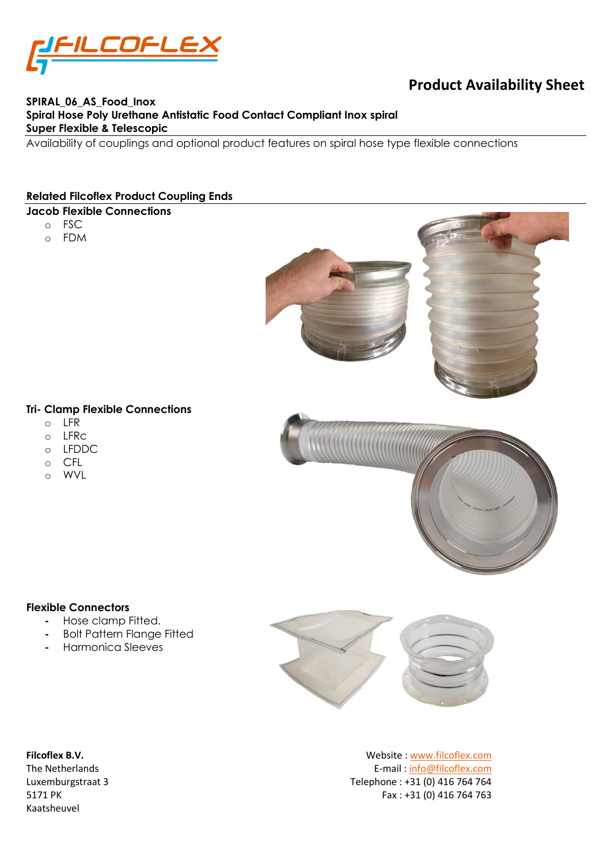

# **Product Availability Sheet**

## **SPIRAL\_06\_AS\_Food\_Inox Spiral Hose Poly Urethane Antistatic Food Contact Compliant Inox spiral Super Flexible & Telescopic**

Availability of couplings and optional product features on spiral hose type flexible connections

#### **Related Filcoflex Product Coupling Ends**

## **Jacob Flexible Connections**

- o FSC
- o FDM



#### **Tri- Clamp Flexible Connections**

- o LFR
- $O$  LFRC
- o LFDDC
- o CFL
- o WVL

#### **Flexible Connectors**

- **-** Hose clamp Fitted.
- **-** Bolt Pattern Flange Fitted
- **-** Harmonica Sleeves



Kaatsheuvel

**Filcoflex B.V.** Website [: www.filcoflex.com](file://///flcfps01/data/Folders%20brochures%20en%20Documentatie/_Materiaal%20specificaties/PU/PU-UF_03-07-1-15/Originele%20documenten/www.filcoflex.com) The Netherlands E-mail [: info@filcoflex.com](mailto:info@filcoflex.com?subject=Contact%20through%20Datasheet%20forms) Luxemburgstraat 3 Telephone : +31 (0) 416 764 764 5171 PK Fax : +31 (0) 416 764 763